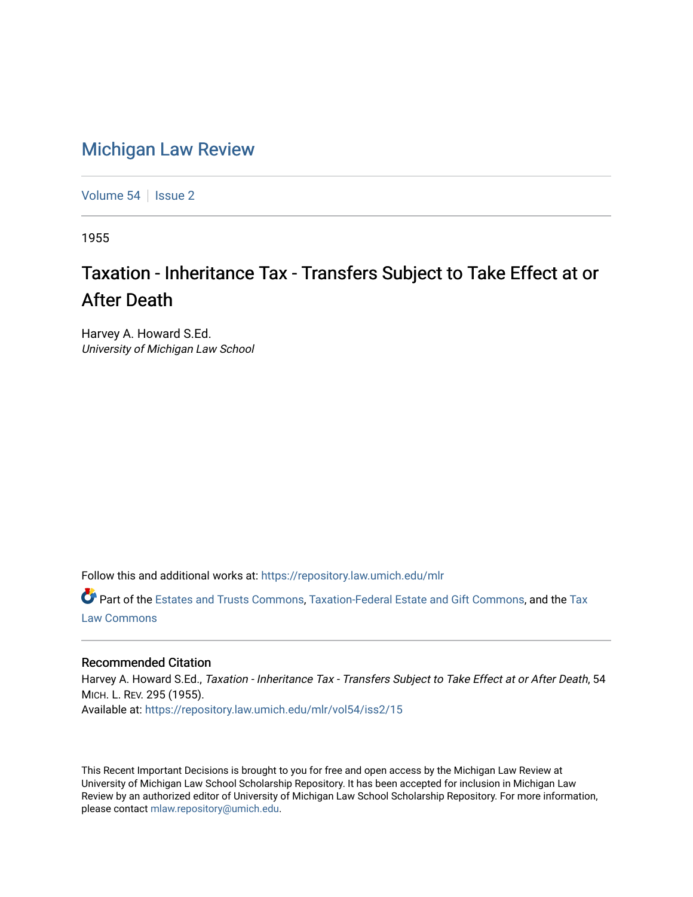## [Michigan Law Review](https://repository.law.umich.edu/mlr)

[Volume 54](https://repository.law.umich.edu/mlr/vol54) | [Issue 2](https://repository.law.umich.edu/mlr/vol54/iss2)

1955

## Taxation - Inheritance Tax - Transfers Subject to Take Effect at or After Death

Harvey A. Howard S.Ed. University of Michigan Law School

Follow this and additional works at: [https://repository.law.umich.edu/mlr](https://repository.law.umich.edu/mlr?utm_source=repository.law.umich.edu%2Fmlr%2Fvol54%2Fiss2%2F15&utm_medium=PDF&utm_campaign=PDFCoverPages) 

Part of the [Estates and Trusts Commons,](http://network.bepress.com/hgg/discipline/906?utm_source=repository.law.umich.edu%2Fmlr%2Fvol54%2Fiss2%2F15&utm_medium=PDF&utm_campaign=PDFCoverPages) [Taxation-Federal Estate and Gift Commons,](http://network.bepress.com/hgg/discipline/880?utm_source=repository.law.umich.edu%2Fmlr%2Fvol54%2Fiss2%2F15&utm_medium=PDF&utm_campaign=PDFCoverPages) and the [Tax](http://network.bepress.com/hgg/discipline/898?utm_source=repository.law.umich.edu%2Fmlr%2Fvol54%2Fiss2%2F15&utm_medium=PDF&utm_campaign=PDFCoverPages) [Law Commons](http://network.bepress.com/hgg/discipline/898?utm_source=repository.law.umich.edu%2Fmlr%2Fvol54%2Fiss2%2F15&utm_medium=PDF&utm_campaign=PDFCoverPages) 

## Recommended Citation

Harvey A. Howard S.Ed., Taxation - Inheritance Tax - Transfers Subject to Take Effect at or After Death, 54 MICH. L. REV. 295 (1955). Available at: [https://repository.law.umich.edu/mlr/vol54/iss2/15](https://repository.law.umich.edu/mlr/vol54/iss2/15?utm_source=repository.law.umich.edu%2Fmlr%2Fvol54%2Fiss2%2F15&utm_medium=PDF&utm_campaign=PDFCoverPages) 

This Recent Important Decisions is brought to you for free and open access by the Michigan Law Review at University of Michigan Law School Scholarship Repository. It has been accepted for inclusion in Michigan Law Review by an authorized editor of University of Michigan Law School Scholarship Repository. For more information, please contact [mlaw.repository@umich.edu.](mailto:mlaw.repository@umich.edu)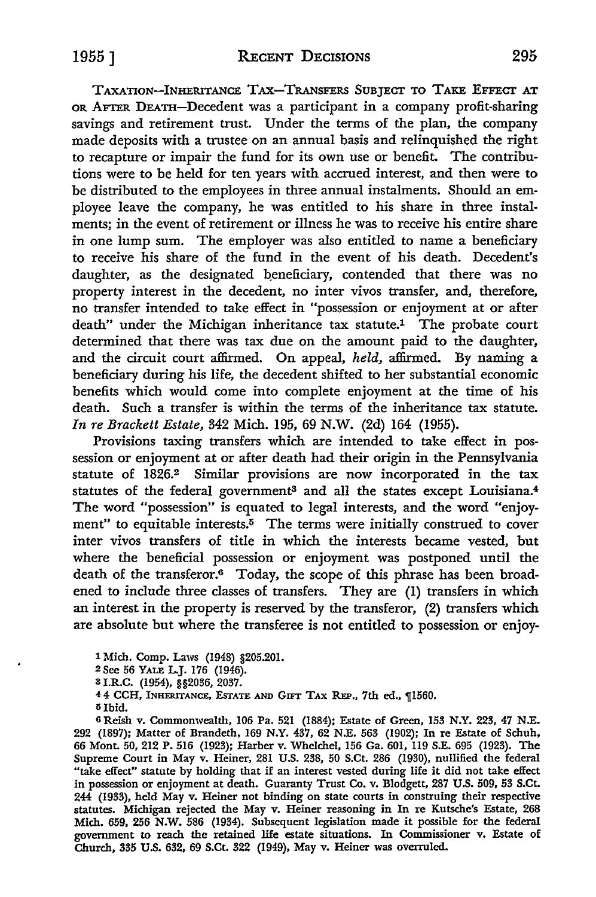TAXATION-INHERITANCE TAX-TRANSFERS SUBJECT TO TAKE EFFECT AT OR AFTER DEATH-Decedent was a participant in a company profit-sharing savings and retirement trust. Under the terms of the plan, the company made deposits with a trustee on an annual basis and relinquished the right to recapture or impair the fund for its own use or benefit. The contributions were to be held for ten years with accrued interest, and then were to be distributed to the employees in three annual instalments. Should an employee leave the company, he was entitled to his share in three instalments; in the event of retirement or illness he was to receive his entire share in one lump sum. The employer was also entitled to name a beneficiary to receive his share of the fund in the event of his death. Decedent's daughter, as the designated beneficiary, contended that there was no property interest in the decedent, no inter vivos transfer, and, therefore, no transfer intended to take effect in "possession or enjoyment at or after death" under the Michigan inheritance tax statute.1 The probate court determined that there was tax due on the amount paid to the daughter, and the circuit court affirmed. On appeal, *held,* affirmed. By naming a beneficiary during his life, the decedent shifted to her substantial economic benefits which would come into complete enjoyment at the time of his death. Such a transfer is within the terms of the inheritance tax statute. *In re Brackett Estate,* 342 Mich. 195, 69 N.W. (2d) 164 (1955).

Provisions taxing transfers which are intended to take effect in possession or enjoyment at or after death had their origin in the Pennsylvania statute of 1826.2 Similar provisions are now incorporated in the tax statutes of the federal government<sup>3</sup> and all the states except Louisiana.<sup>4</sup> The word "possession" is equated to legal interests, and the word "enjoyment" to equitable interests. $5$  The terms were initially construed to cover inter vivos transfers of title in which the interests became vested, but where the beneficial possession or enjoyment was postponed until the death of the transferor.6 Today, the scope of this phrase has been broadened to include three classes of transfers. They are (I) transfers in which an interest in the property is reserved by the transferor, (2) transfers which are absolute but where the transferee is not entitled to possession or enjoy-

1 Mich. Comp. Laws (1948) §205.201.

2 See 56 YALE L.J. 176 (1946).

3 I.R.C. (1954), §§2036, 2037.

4 4 CCH, INHERITANCE, ESTATE AND GIFT TAX REP., 7th ed., 11560.

 $5$  Ibid.

<sup>6</sup>Reish v. Commonwealth, 106 Pa. 521 (1884); Estate of Green, 153 N.Y. 223, 47 N.E. 292 (1897); Matter of Brandeth, 169 N.Y. 437, 62 N.E. 563 (1902); In re Estate of Schuh, 66 Mont. 50, 212 P. 516 (1923); Harber v. Whelchel, 156 Ga. 601, 119 S.E. 695 (1923). The Supreme Court in May v. Heiner, 281 U.S. 238, 50 S.Ct. 286 (1930), nullified the federal "take effect" statute by holding that if an interest vested during life it did not take effect in possession or enjoyment at death. Guaranty Trust Co. v. Blodgett, 287 U.S. 509, 53 S.Ct. 244 (1933), held May v. Heiner not binding on state courts in construing their respective statutes. Michigan rejected the May v. Heiner reasoning in In re Kutsche's Estate, 268 Mich. 659, 256 N.W. 586 (1934). Subsequent legislation made it possible for the federal government to reach the retained life estate situations. In Commissioner v. Estate of Church, 335 U.S. 632, 69 S.Ct. 322 (1949), May v. Heiner was overruled.